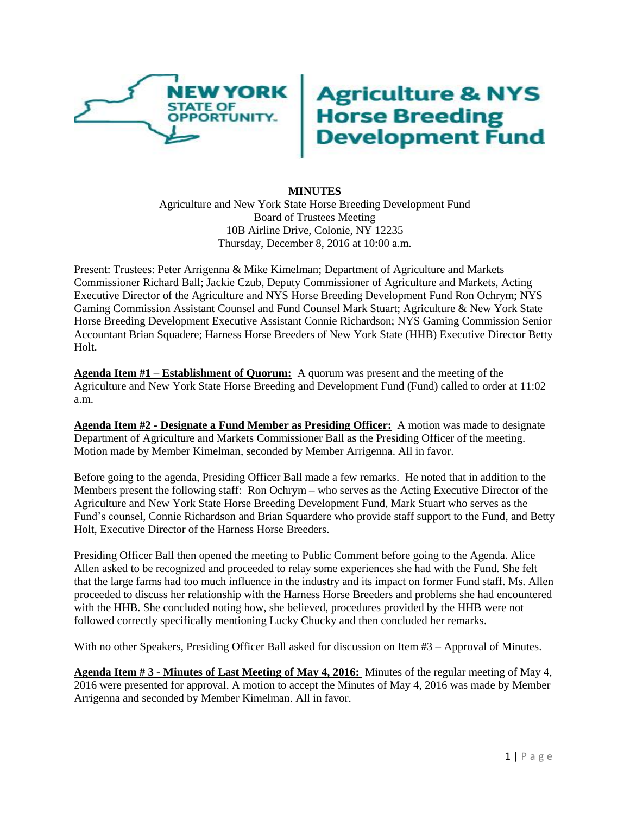

## **Agriculture & NYS<br>Horse Breeding<br>Development Fund**

## **MINUTES**

Agriculture and New York State Horse Breeding Development Fund Board of Trustees Meeting 10B Airline Drive, Colonie, NY 12235 Thursday, December 8, 2016 at 10:00 a.m.

Present: Trustees: Peter Arrigenna & Mike Kimelman; Department of Agriculture and Markets Commissioner Richard Ball; Jackie Czub, Deputy Commissioner of Agriculture and Markets, Acting Executive Director of the Agriculture and NYS Horse Breeding Development Fund Ron Ochrym; NYS Gaming Commission Assistant Counsel and Fund Counsel Mark Stuart; Agriculture & New York State Horse Breeding Development Executive Assistant Connie Richardson; NYS Gaming Commission Senior Accountant Brian Squadere; Harness Horse Breeders of New York State (HHB) Executive Director Betty Holt.

**Agenda Item #1 – Establishment of Quorum:** A quorum was present and the meeting of the Agriculture and New York State Horse Breeding and Development Fund (Fund) called to order at 11:02 a.m.

**Agenda Item #2 - Designate a Fund Member as Presiding Officer:** A motion was made to designate Department of Agriculture and Markets Commissioner Ball as the Presiding Officer of the meeting. Motion made by Member Kimelman, seconded by Member Arrigenna. All in favor.

Before going to the agenda, Presiding Officer Ball made a few remarks. He noted that in addition to the Members present the following staff: Ron Ochrym – who serves as the Acting Executive Director of the Agriculture and New York State Horse Breeding Development Fund, Mark Stuart who serves as the Fund's counsel, Connie Richardson and Brian Squardere who provide staff support to the Fund, and Betty Holt, Executive Director of the Harness Horse Breeders.

Presiding Officer Ball then opened the meeting to Public Comment before going to the Agenda. Alice Allen asked to be recognized and proceeded to relay some experiences she had with the Fund. She felt that the large farms had too much influence in the industry and its impact on former Fund staff. Ms. Allen proceeded to discuss her relationship with the Harness Horse Breeders and problems she had encountered with the HHB. She concluded noting how, she believed, procedures provided by the HHB were not followed correctly specifically mentioning Lucky Chucky and then concluded her remarks.

With no other Speakers, Presiding Officer Ball asked for discussion on Item #3 – Approval of Minutes.

**Agenda Item # 3 - Minutes of Last Meeting of May 4, 2016:** Minutes of the regular meeting of May 4, 2016 were presented for approval. A motion to accept the Minutes of May 4, 2016 was made by Member Arrigenna and seconded by Member Kimelman. All in favor.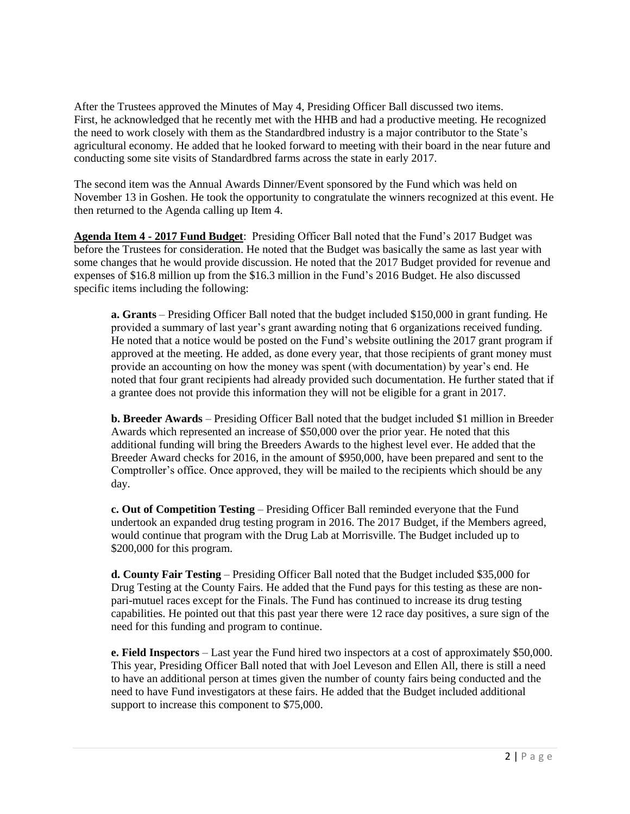After the Trustees approved the Minutes of May 4, Presiding Officer Ball discussed two items. First, he acknowledged that he recently met with the HHB and had a productive meeting. He recognized the need to work closely with them as the Standardbred industry is a major contributor to the State's agricultural economy. He added that he looked forward to meeting with their board in the near future and conducting some site visits of Standardbred farms across the state in early 2017.

The second item was the Annual Awards Dinner/Event sponsored by the Fund which was held on November 13 in Goshen. He took the opportunity to congratulate the winners recognized at this event. He then returned to the Agenda calling up Item 4.

**Agenda Item 4 - 2017 Fund Budget**: Presiding Officer Ball noted that the Fund's 2017 Budget was before the Trustees for consideration. He noted that the Budget was basically the same as last year with some changes that he would provide discussion. He noted that the 2017 Budget provided for revenue and expenses of \$16.8 million up from the \$16.3 million in the Fund's 2016 Budget. He also discussed specific items including the following:

**a. Grants** – Presiding Officer Ball noted that the budget included \$150,000 in grant funding. He provided a summary of last year's grant awarding noting that 6 organizations received funding. He noted that a notice would be posted on the Fund's website outlining the 2017 grant program if approved at the meeting. He added, as done every year, that those recipients of grant money must provide an accounting on how the money was spent (with documentation) by year's end. He noted that four grant recipients had already provided such documentation. He further stated that if a grantee does not provide this information they will not be eligible for a grant in 2017.

**b. Breeder Awards** – Presiding Officer Ball noted that the budget included \$1 million in Breeder Awards which represented an increase of \$50,000 over the prior year. He noted that this additional funding will bring the Breeders Awards to the highest level ever. He added that the Breeder Award checks for 2016, in the amount of \$950,000, have been prepared and sent to the Comptroller's office. Once approved, they will be mailed to the recipients which should be any day.

**c. Out of Competition Testing** – Presiding Officer Ball reminded everyone that the Fund undertook an expanded drug testing program in 2016. The 2017 Budget, if the Members agreed, would continue that program with the Drug Lab at Morrisville. The Budget included up to \$200,000 for this program.

**d. County Fair Testing** – Presiding Officer Ball noted that the Budget included \$35,000 for Drug Testing at the County Fairs. He added that the Fund pays for this testing as these are nonpari-mutuel races except for the Finals. The Fund has continued to increase its drug testing capabilities. He pointed out that this past year there were 12 race day positives, a sure sign of the need for this funding and program to continue.

**e. Field Inspectors** – Last year the Fund hired two inspectors at a cost of approximately \$50,000. This year, Presiding Officer Ball noted that with Joel Leveson and Ellen All, there is still a need to have an additional person at times given the number of county fairs being conducted and the need to have Fund investigators at these fairs. He added that the Budget included additional support to increase this component to \$75,000.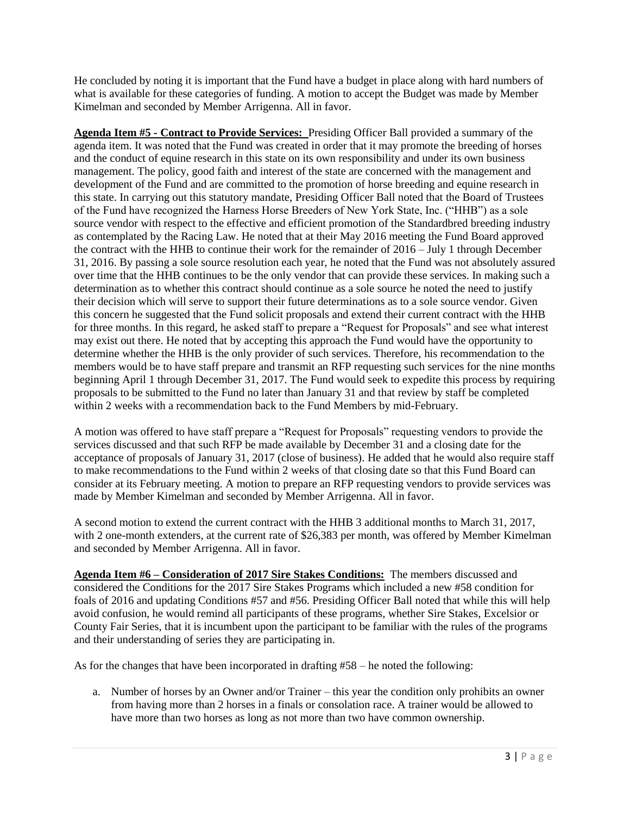He concluded by noting it is important that the Fund have a budget in place along with hard numbers of what is available for these categories of funding. A motion to accept the Budget was made by Member Kimelman and seconded by Member Arrigenna. All in favor.

**Agenda Item #5 - Contract to Provide Services:** Presiding Officer Ball provided a summary of the agenda item. It was noted that the Fund was created in order that it may promote the breeding of horses and the conduct of equine research in this state on its own responsibility and under its own business management. The policy, good faith and interest of the state are concerned with the management and development of the Fund and are committed to the promotion of horse breeding and equine research in this state. In carrying out this statutory mandate, Presiding Officer Ball noted that the Board of Trustees of the Fund have recognized the Harness Horse Breeders of New York State, Inc. ("HHB") as a sole source vendor with respect to the effective and efficient promotion of the Standardbred breeding industry as contemplated by the Racing Law. He noted that at their May 2016 meeting the Fund Board approved the contract with the HHB to continue their work for the remainder of 2016 – July 1 through December 31, 2016. By passing a sole source resolution each year, he noted that the Fund was not absolutely assured over time that the HHB continues to be the only vendor that can provide these services. In making such a determination as to whether this contract should continue as a sole source he noted the need to justify their decision which will serve to support their future determinations as to a sole source vendor. Given this concern he suggested that the Fund solicit proposals and extend their current contract with the HHB for three months. In this regard, he asked staff to prepare a "Request for Proposals" and see what interest may exist out there. He noted that by accepting this approach the Fund would have the opportunity to determine whether the HHB is the only provider of such services. Therefore, his recommendation to the members would be to have staff prepare and transmit an RFP requesting such services for the nine months beginning April 1 through December 31, 2017. The Fund would seek to expedite this process by requiring proposals to be submitted to the Fund no later than January 31 and that review by staff be completed within 2 weeks with a recommendation back to the Fund Members by mid-February.

A motion was offered to have staff prepare a "Request for Proposals" requesting vendors to provide the services discussed and that such RFP be made available by December 31 and a closing date for the acceptance of proposals of January 31, 2017 (close of business). He added that he would also require staff to make recommendations to the Fund within 2 weeks of that closing date so that this Fund Board can consider at its February meeting. A motion to prepare an RFP requesting vendors to provide services was made by Member Kimelman and seconded by Member Arrigenna. All in favor.

A second motion to extend the current contract with the HHB 3 additional months to March 31, 2017, with 2 one-month extenders, at the current rate of \$26,383 per month, was offered by Member Kimelman and seconded by Member Arrigenna. All in favor.

**Agenda Item #6 – Consideration of 2017 Sire Stakes Conditions:** The members discussed and considered the Conditions for the 2017 Sire Stakes Programs which included a new #58 condition for foals of 2016 and updating Conditions #57 and #56. Presiding Officer Ball noted that while this will help avoid confusion, he would remind all participants of these programs, whether Sire Stakes, Excelsior or County Fair Series, that it is incumbent upon the participant to be familiar with the rules of the programs and their understanding of series they are participating in.

As for the changes that have been incorporated in drafting #58 – he noted the following:

a. Number of horses by an Owner and/or Trainer – this year the condition only prohibits an owner from having more than 2 horses in a finals or consolation race. A trainer would be allowed to have more than two horses as long as not more than two have common ownership.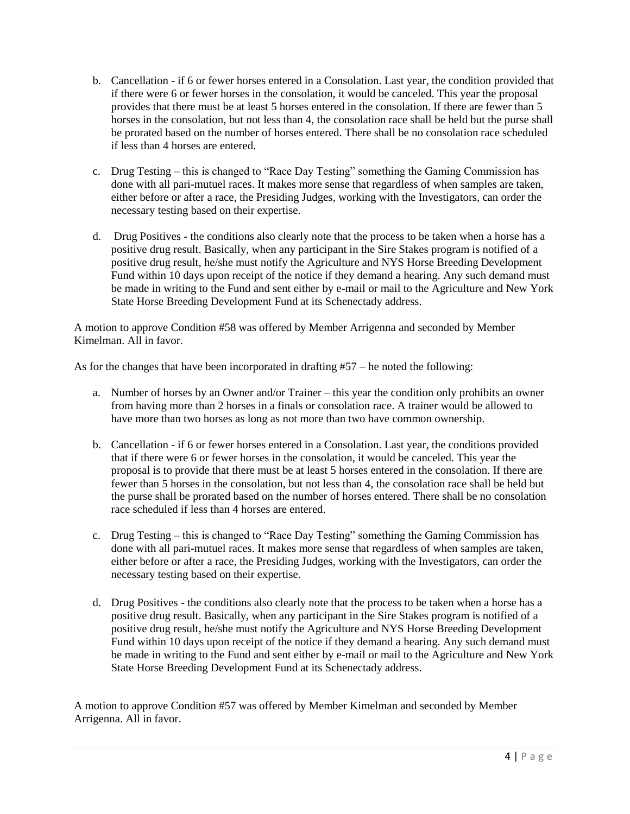- b. Cancellation if 6 or fewer horses entered in a Consolation. Last year, the condition provided that if there were 6 or fewer horses in the consolation, it would be canceled. This year the proposal provides that there must be at least 5 horses entered in the consolation. If there are fewer than 5 horses in the consolation, but not less than 4, the consolation race shall be held but the purse shall be prorated based on the number of horses entered. There shall be no consolation race scheduled if less than 4 horses are entered.
- c. Drug Testing this is changed to "Race Day Testing" something the Gaming Commission has done with all pari-mutuel races. It makes more sense that regardless of when samples are taken, either before or after a race, the Presiding Judges, working with the Investigators, can order the necessary testing based on their expertise.
- d. Drug Positives the conditions also clearly note that the process to be taken when a horse has a positive drug result. Basically, when any participant in the Sire Stakes program is notified of a positive drug result, he/she must notify the Agriculture and NYS Horse Breeding Development Fund within 10 days upon receipt of the notice if they demand a hearing. Any such demand must be made in writing to the Fund and sent either by e-mail or mail to the Agriculture and New York State Horse Breeding Development Fund at its Schenectady address.

A motion to approve Condition #58 was offered by Member Arrigenna and seconded by Member Kimelman. All in favor.

As for the changes that have been incorporated in drafting #57 – he noted the following:

- a. Number of horses by an Owner and/or Trainer this year the condition only prohibits an owner from having more than 2 horses in a finals or consolation race. A trainer would be allowed to have more than two horses as long as not more than two have common ownership.
- b. Cancellation if 6 or fewer horses entered in a Consolation. Last year, the conditions provided that if there were 6 or fewer horses in the consolation, it would be canceled. This year the proposal is to provide that there must be at least 5 horses entered in the consolation. If there are fewer than 5 horses in the consolation, but not less than 4, the consolation race shall be held but the purse shall be prorated based on the number of horses entered. There shall be no consolation race scheduled if less than 4 horses are entered.
- c. Drug Testing this is changed to "Race Day Testing" something the Gaming Commission has done with all pari-mutuel races. It makes more sense that regardless of when samples are taken, either before or after a race, the Presiding Judges, working with the Investigators, can order the necessary testing based on their expertise.
- d. Drug Positives the conditions also clearly note that the process to be taken when a horse has a positive drug result. Basically, when any participant in the Sire Stakes program is notified of a positive drug result, he/she must notify the Agriculture and NYS Horse Breeding Development Fund within 10 days upon receipt of the notice if they demand a hearing. Any such demand must be made in writing to the Fund and sent either by e-mail or mail to the Agriculture and New York State Horse Breeding Development Fund at its Schenectady address.

A motion to approve Condition #57 was offered by Member Kimelman and seconded by Member Arrigenna. All in favor.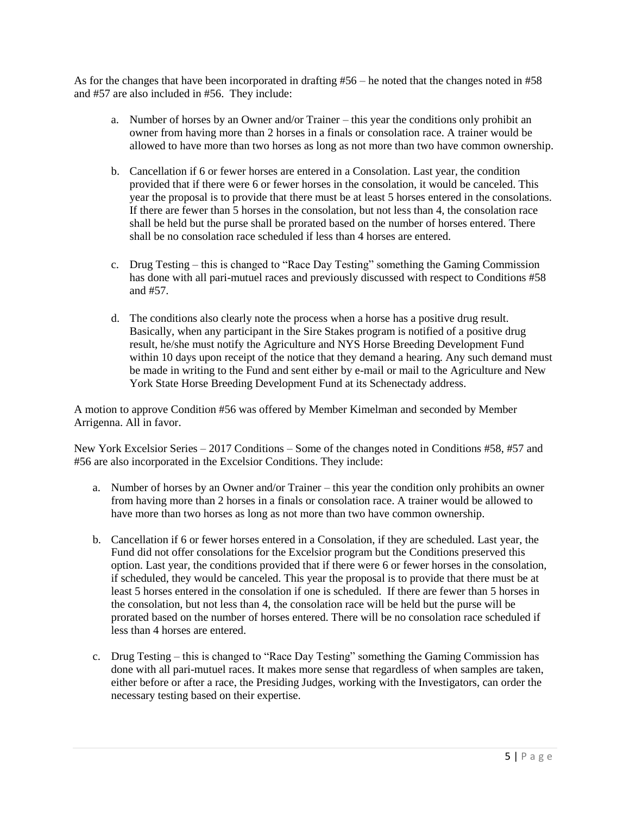As for the changes that have been incorporated in drafting #56 – he noted that the changes noted in #58 and #57 are also included in #56. They include:

- a. Number of horses by an Owner and/or Trainer this year the conditions only prohibit an owner from having more than 2 horses in a finals or consolation race. A trainer would be allowed to have more than two horses as long as not more than two have common ownership.
- b. Cancellation if 6 or fewer horses are entered in a Consolation. Last year, the condition provided that if there were 6 or fewer horses in the consolation, it would be canceled. This year the proposal is to provide that there must be at least 5 horses entered in the consolations. If there are fewer than 5 horses in the consolation, but not less than 4, the consolation race shall be held but the purse shall be prorated based on the number of horses entered. There shall be no consolation race scheduled if less than 4 horses are entered.
- c. Drug Testing this is changed to "Race Day Testing" something the Gaming Commission has done with all pari-mutuel races and previously discussed with respect to Conditions #58 and #57.
- d. The conditions also clearly note the process when a horse has a positive drug result. Basically, when any participant in the Sire Stakes program is notified of a positive drug result, he/she must notify the Agriculture and NYS Horse Breeding Development Fund within 10 days upon receipt of the notice that they demand a hearing. Any such demand must be made in writing to the Fund and sent either by e-mail or mail to the Agriculture and New York State Horse Breeding Development Fund at its Schenectady address.

A motion to approve Condition #56 was offered by Member Kimelman and seconded by Member Arrigenna. All in favor.

New York Excelsior Series – 2017 Conditions – Some of the changes noted in Conditions #58, #57 and #56 are also incorporated in the Excelsior Conditions. They include:

- a. Number of horses by an Owner and/or Trainer this year the condition only prohibits an owner from having more than 2 horses in a finals or consolation race. A trainer would be allowed to have more than two horses as long as not more than two have common ownership.
- b. Cancellation if 6 or fewer horses entered in a Consolation, if they are scheduled. Last year, the Fund did not offer consolations for the Excelsior program but the Conditions preserved this option. Last year, the conditions provided that if there were 6 or fewer horses in the consolation, if scheduled, they would be canceled. This year the proposal is to provide that there must be at least 5 horses entered in the consolation if one is scheduled. If there are fewer than 5 horses in the consolation, but not less than 4, the consolation race will be held but the purse will be prorated based on the number of horses entered. There will be no consolation race scheduled if less than 4 horses are entered.
- c. Drug Testing this is changed to "Race Day Testing" something the Gaming Commission has done with all pari-mutuel races. It makes more sense that regardless of when samples are taken, either before or after a race, the Presiding Judges, working with the Investigators, can order the necessary testing based on their expertise.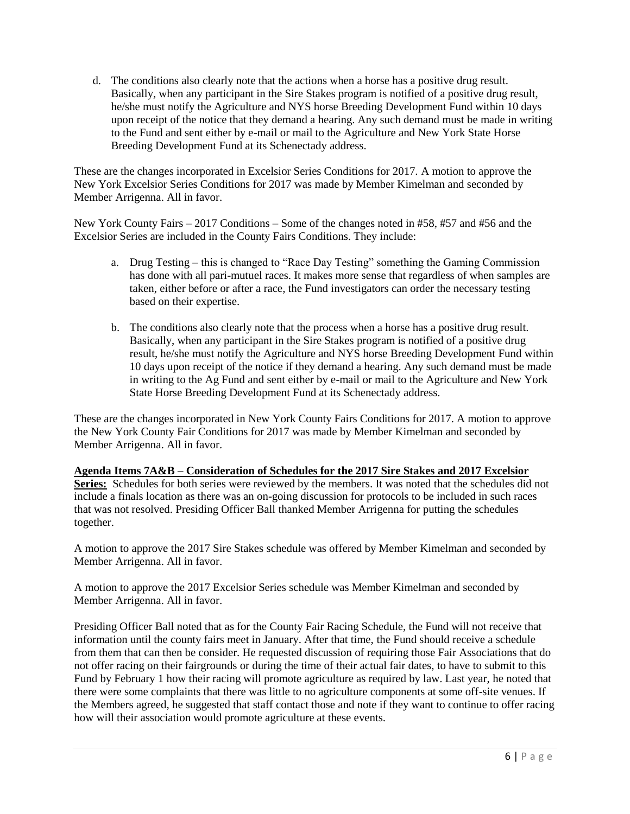d. The conditions also clearly note that the actions when a horse has a positive drug result. Basically, when any participant in the Sire Stakes program is notified of a positive drug result, he/she must notify the Agriculture and NYS horse Breeding Development Fund within 10 days upon receipt of the notice that they demand a hearing. Any such demand must be made in writing to the Fund and sent either by e-mail or mail to the Agriculture and New York State Horse Breeding Development Fund at its Schenectady address.

These are the changes incorporated in Excelsior Series Conditions for 2017. A motion to approve the New York Excelsior Series Conditions for 2017 was made by Member Kimelman and seconded by Member Arrigenna. All in favor.

New York County Fairs – 2017 Conditions – Some of the changes noted in #58, #57 and #56 and the Excelsior Series are included in the County Fairs Conditions. They include:

- a. Drug Testing this is changed to "Race Day Testing" something the Gaming Commission has done with all pari-mutuel races. It makes more sense that regardless of when samples are taken, either before or after a race, the Fund investigators can order the necessary testing based on their expertise.
- b. The conditions also clearly note that the process when a horse has a positive drug result. Basically, when any participant in the Sire Stakes program is notified of a positive drug result, he/she must notify the Agriculture and NYS horse Breeding Development Fund within 10 days upon receipt of the notice if they demand a hearing. Any such demand must be made in writing to the Ag Fund and sent either by e-mail or mail to the Agriculture and New York State Horse Breeding Development Fund at its Schenectady address.

These are the changes incorporated in New York County Fairs Conditions for 2017. A motion to approve the New York County Fair Conditions for 2017 was made by Member Kimelman and seconded by Member Arrigenna. All in favor.

## **Agenda Items 7A&B – Consideration of Schedules for the 2017 Sire Stakes and 2017 Excelsior**

Series: Schedules for both series were reviewed by the members. It was noted that the schedules did not include a finals location as there was an on-going discussion for protocols to be included in such races that was not resolved. Presiding Officer Ball thanked Member Arrigenna for putting the schedules together.

A motion to approve the 2017 Sire Stakes schedule was offered by Member Kimelman and seconded by Member Arrigenna. All in favor.

A motion to approve the 2017 Excelsior Series schedule was Member Kimelman and seconded by Member Arrigenna. All in favor.

Presiding Officer Ball noted that as for the County Fair Racing Schedule, the Fund will not receive that information until the county fairs meet in January. After that time, the Fund should receive a schedule from them that can then be consider. He requested discussion of requiring those Fair Associations that do not offer racing on their fairgrounds or during the time of their actual fair dates, to have to submit to this Fund by February 1 how their racing will promote agriculture as required by law. Last year, he noted that there were some complaints that there was little to no agriculture components at some off-site venues. If the Members agreed, he suggested that staff contact those and note if they want to continue to offer racing how will their association would promote agriculture at these events.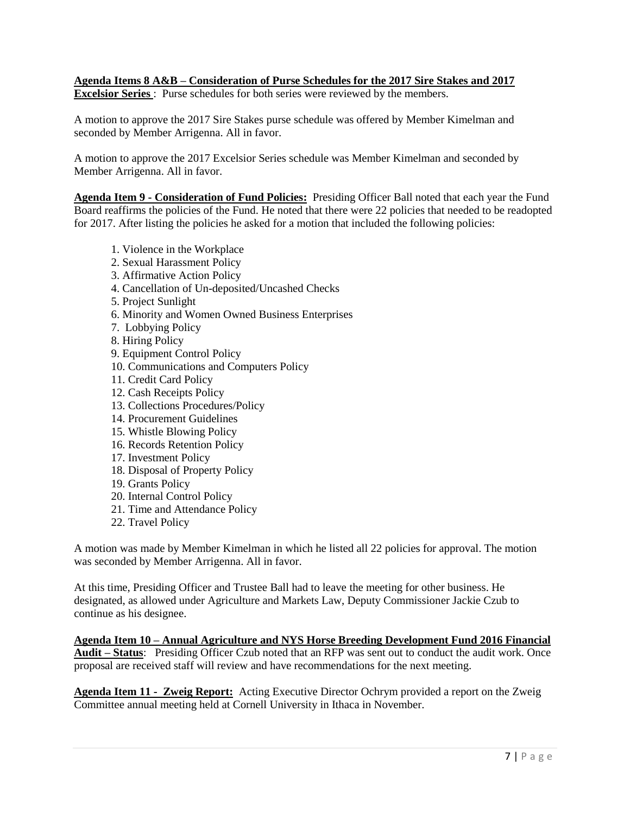## **Agenda Items 8 A&B – Consideration of Purse Schedules for the 2017 Sire Stakes and 2017 Excelsior Series** : Purse schedules for both series were reviewed by the members.

A motion to approve the 2017 Sire Stakes purse schedule was offered by Member Kimelman and seconded by Member Arrigenna. All in favor.

A motion to approve the 2017 Excelsior Series schedule was Member Kimelman and seconded by Member Arrigenna. All in favor.

**Agenda Item 9 - Consideration of Fund Policies:** Presiding Officer Ball noted that each year the Fund Board reaffirms the policies of the Fund. He noted that there were 22 policies that needed to be readopted for 2017. After listing the policies he asked for a motion that included the following policies:

- 1. Violence in the Workplace
- 2. Sexual Harassment Policy
- 3. Affirmative Action Policy
- 4. Cancellation of Un-deposited/Uncashed Checks
- 5. Project Sunlight
- 6. Minority and Women Owned Business Enterprises
- 7. Lobbying Policy
- 8. Hiring Policy
- 9. Equipment Control Policy
- 10. Communications and Computers Policy
- 11. Credit Card Policy
- 12. Cash Receipts Policy
- 13. Collections Procedures/Policy
- 14. Procurement Guidelines
- 15. Whistle Blowing Policy
- 16. Records Retention Policy
- 17. Investment Policy
- 18. Disposal of Property Policy
- 19. Grants Policy
- 20. Internal Control Policy
- 21. Time and Attendance Policy
- 22. Travel Policy

A motion was made by Member Kimelman in which he listed all 22 policies for approval. The motion was seconded by Member Arrigenna. All in favor.

At this time, Presiding Officer and Trustee Ball had to leave the meeting for other business. He designated, as allowed under Agriculture and Markets Law, Deputy Commissioner Jackie Czub to continue as his designee.

**Agenda Item 10 – Annual Agriculture and NYS Horse Breeding Development Fund 2016 Financial Audit – Status**: Presiding Officer Czub noted that an RFP was sent out to conduct the audit work. Once proposal are received staff will review and have recommendations for the next meeting.

**Agenda Item 11 - Zweig Report:** Acting Executive Director Ochrym provided a report on the Zweig Committee annual meeting held at Cornell University in Ithaca in November.